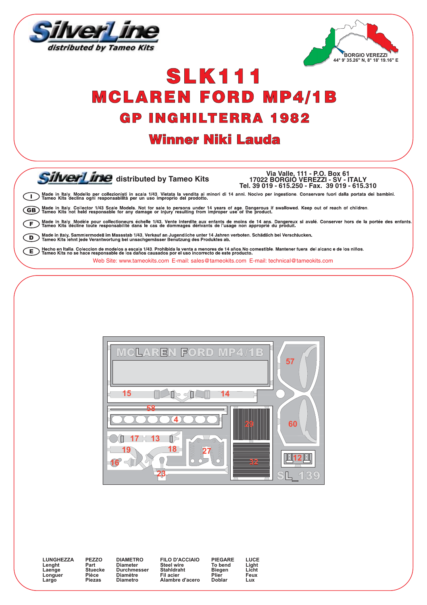



## **SLK111 MCLAREN FORD MP4/1B GP INGHILTERRA 1982**

## **Winner Niki Lauda**

SilverLine distributed by Tameo Kits

Via Valle, 111 - P.O. Box 61<br>17022 BORGIO VEREZZI - SV - ITALY Tel. 39 019 - 615.250 - Fax. 39 019 - 615.310

Made in Italy. Modello per collezionisti in scala 1/43. Vietata la vendita ai minori di 14 anni. Nocivo per ingestione. Conservare fuori dalla portata dei bambini.<br>Il Tameo Kits declina ogni responsabilità per un uso impro

(GB) Made in Italy. Collector 1/43 Scale Models. Not for sale to persons under 14 years of age. Dangerous if swallowed. Keep out of reach of children.

) Made in Italy, Modèle pour collectioneurs échelle 1/43. Vente interdite aux enfants de moins de 14 ans. Dangereux si avalé. Conserver hors de la portée des enfants.<br>) Tameo Kits décline toute responsabilité dans le cas d F

.<br>) Made in Italy. Sammlermodell im Massstab 1/43. Verkauf an Jugendliche unter 14 Jahren verboten. Schädlich bei Verschlucken.<br>) Tameo Kits lehnt jede Verantwortung bei unsachgemässer Benutzung des Produktes ab.  $\subset$ 

) Hecho en Italia. Coleccion de modelos a escala 1/43. Prohibida la venta a menores de 14 años No comestible. Mantener fuera del alcanc e de los niños.<br>) Tameo Kits no se hace responsable de los daños causados por el uso Œ Web Site: www.tameokits.com E-mail: sales@tameokits.com E-mail: technical@tameokits.com



**I UNGHEZZA** Lenaht Laenge Lacrige Largo

PF770 Part<br>Stuecke Pièce Piezas

DIAMETRO Diameter<br>Diameter<br>Durchmesser Diamètre Diametro

**FILO D'ACCIAIO** Steel wire<br>Stahldraht Fil acier Alambre d'acero PIFGARE To bend Biegen Plier<sup>1</sup> Doblar

LUCE Light<br>Licht Feux Lux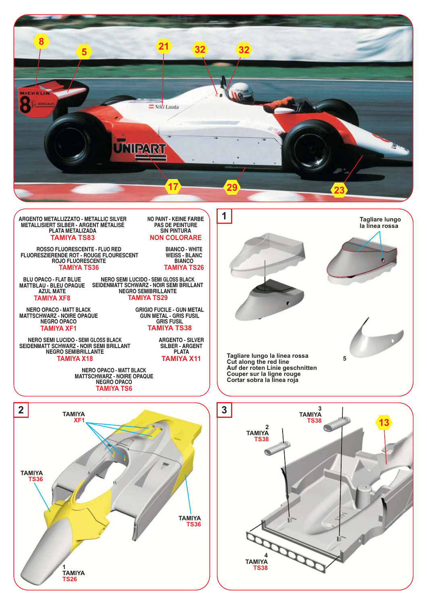

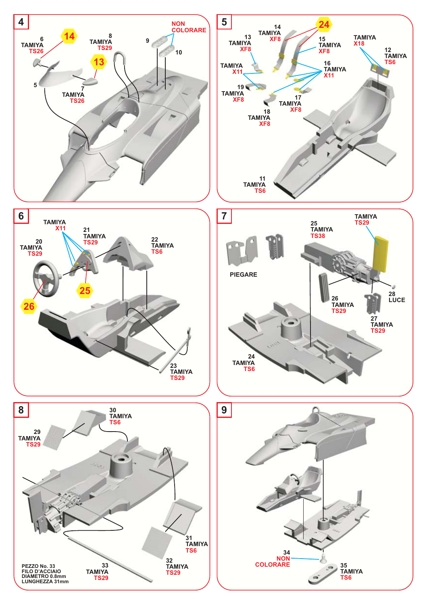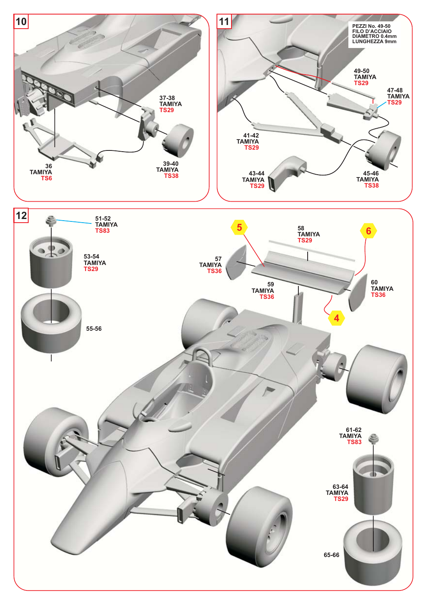